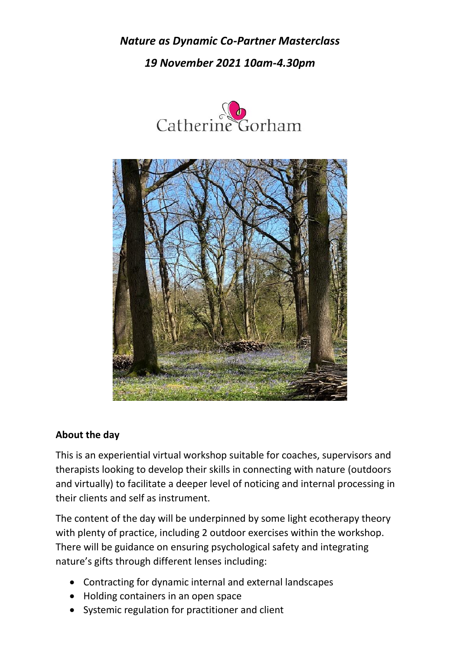*Nature as Dynamic Co-Partner Masterclass 19 November 2021 10am-4.30pm*





## **About the day**

This is an experiential virtual workshop suitable for coaches, supervisors and therapists looking to develop their skills in connecting with nature (outdoors and virtually) to facilitate a deeper level of noticing and internal processing in their clients and self as instrument.

The content of the day will be underpinned by some light ecotherapy theory with plenty of practice, including 2 outdoor exercises within the workshop. There will be guidance on ensuring psychological safety and integrating nature's gifts through different lenses including:

- Contracting for dynamic internal and external landscapes
- Holding containers in an open space
- Systemic regulation for practitioner and client